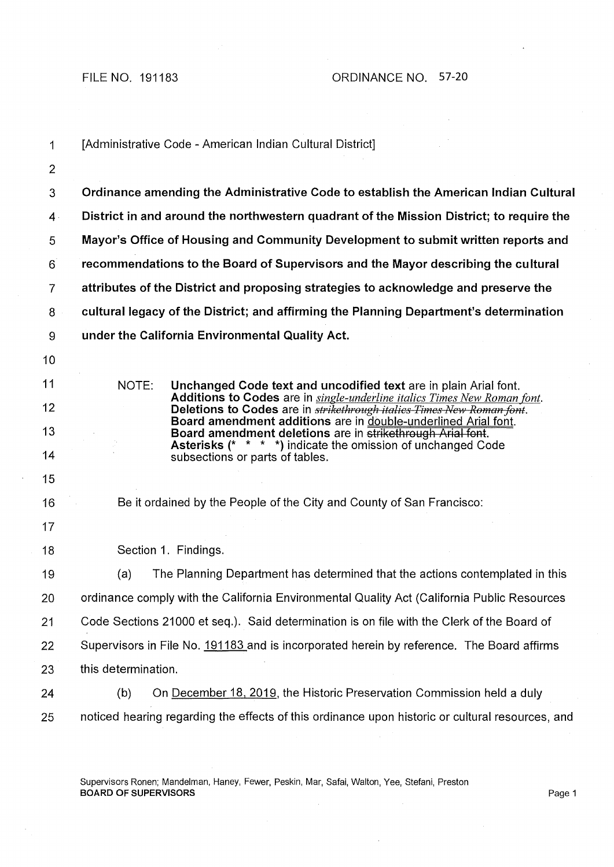| 1              | [Administrative Code - American Indian Cultural District]                                                                                         |
|----------------|---------------------------------------------------------------------------------------------------------------------------------------------------|
| $\overline{2}$ |                                                                                                                                                   |
| 3              | Ordinance amending the Administrative Code to establish the American Indian Cultural                                                              |
| $\mathbf{4}$   | District in and around the northwestern quadrant of the Mission District; to require the                                                          |
| 5              | Mayor's Office of Housing and Community Development to submit written reports and                                                                 |
| $6^{\degree}$  | recommendations to the Board of Supervisors and the Mayor describing the cultural                                                                 |
| 7              | attributes of the District and proposing strategies to acknowledge and preserve the                                                               |
| 8              | cultural legacy of the District; and affirming the Planning Department's determination                                                            |
| 9              | under the California Environmental Quality Act.                                                                                                   |
| 10             |                                                                                                                                                   |
| 11             | NOTE:<br>Unchanged Code text and uncodified text are in plain Arial font.                                                                         |
| 12             | Additions to Codes are in single-underline italics Times New Roman font.<br>Deletions to Codes are in strikethrough italies Times New Roman font. |
| 13             | Board amendment additions are in double-underlined Arial font.<br>Board amendment deletions are in strikethrough Arial font.                      |
| 14             | Asterisks (* * * *) indicate the omission of unchanged Code<br>subsections or parts of tables.                                                    |
| 15             |                                                                                                                                                   |
| 16             | Be it ordained by the People of the City and County of San Francisco:                                                                             |
| 17             |                                                                                                                                                   |
| 18             | Section 1. Findings.                                                                                                                              |
| 19             | The Planning Department has determined that the actions contemplated in this<br>(a)                                                               |
| 20             | ordinance comply with the California Environmental Quality Act (California Public Resources                                                       |
| 21             | Code Sections 21000 et seq.). Said determination is on file with the Clerk of the Board of                                                        |
| 22             | Supervisors in File No. 191183 and is incorporated herein by reference. The Board affirms                                                         |
| 23             | this determination.                                                                                                                               |
| 24             | On December 18, 2019, the Historic Preservation Commission held a duly<br>(b)                                                                     |
| 25             | noticed hearing regarding the effects of this ordinance upon historic or cultural resources, and                                                  |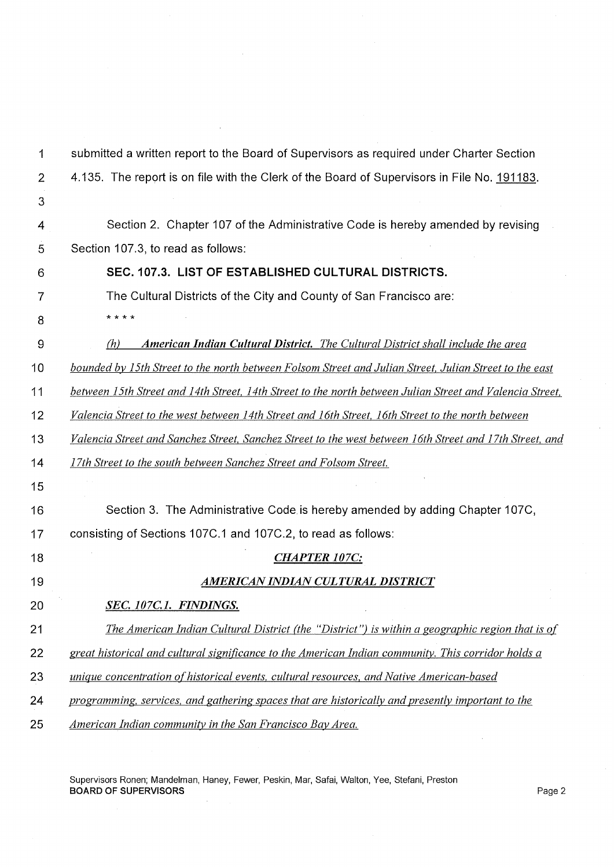| 1              | submitted a written report to the Board of Supervisors as required under Charter Section                 |
|----------------|----------------------------------------------------------------------------------------------------------|
| $\overline{2}$ | 4.135. The report is on file with the Clerk of the Board of Supervisors in File No. 191183.              |
| 3              |                                                                                                          |
| 4              | Section 2. Chapter 107 of the Administrative Code is hereby amended by revising                          |
| 5              | Section 107.3, to read as follows:                                                                       |
| 6              | SEC. 107.3. LIST OF ESTABLISHED CULTURAL DISTRICTS.                                                      |
| 7              | The Cultural Districts of the City and County of San Francisco are:                                      |
| 8              | * * * *                                                                                                  |
| 9              | <b>American Indian Cultural District.</b> The Cultural District shall include the area<br>(h)            |
| 10             | bounded by 15th Street to the north between Folsom Street and Julian Street, Julian Street to the east   |
| 11             | between 15th Street and 14th Street, 14th Street to the north between Julian Street and Valencia Street, |
| 12             | Valencia Street to the west between 14th Street and 16th Street, 16th Street to the north between        |
| 13             | Valencia Street and Sanchez Street, Sanchez Street to the west between 16th Street and 17th Street, and  |
| 14             | 17th Street to the south between Sanchez Street and Folsom Street.                                       |
| 15             |                                                                                                          |
| 16             | Section 3. The Administrative Code is hereby amended by adding Chapter 107C,                             |
| 17             | consisting of Sections 107C.1 and 107C.2, to read as follows:                                            |
| 18             | <b>CHAPTER 107C:</b>                                                                                     |
| 19             | AMERICAN INDIAN CULTURAL DISTRICT                                                                        |
| 20             | SEC. 107C.1. FINDINGS.                                                                                   |
| 21             | The American Indian Cultural District (the "District") is within a geographic region that is of          |
| 22             | great historical and cultural significance to the American Indian community. This corridor holds a       |
| 23             | unique concentration of historical events, cultural resources, and Native American-based                 |
| 24             | programming, services, and gathering spaces that are historically and presently important to the         |
| 25             | American Indian community in the San Francisco Bay Area.                                                 |
|                |                                                                                                          |

 $\overline{\phantom{a}}$ 

 $\hat{\boldsymbol{\alpha}}$ 

Supervisors Ronen; Mandelman, Haney, Fewer, Peskin, Mar, Safai, Walton, Yee, Stefani, Preston BOARD OF SUPERVISORS Page2

 $\mathcal{L}^{\pm}$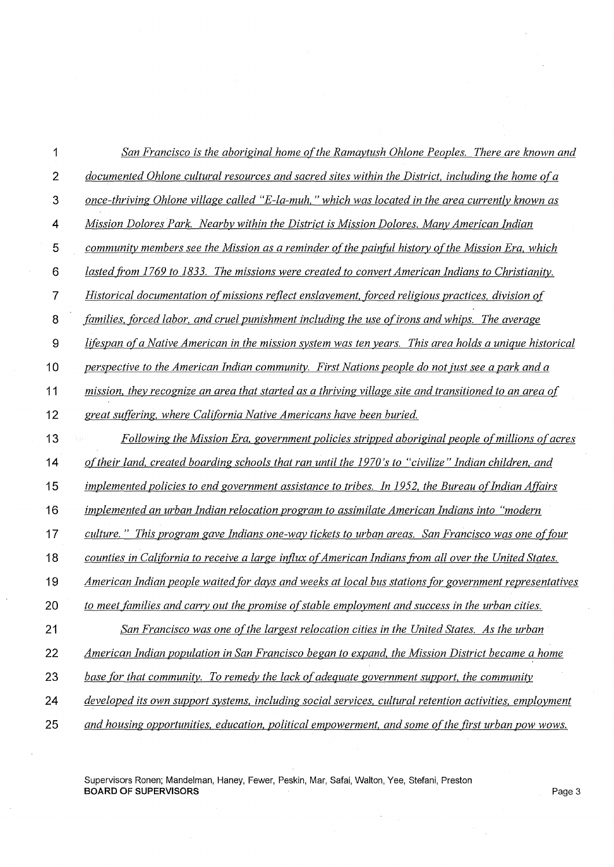| 1                | San Francisco is the aboriginal home of the Ramaytush Ohlone Peoples. There are known and               |
|------------------|---------------------------------------------------------------------------------------------------------|
| $\overline{2}$   | documented Ohlone cultural resources and sacred sites within the District, including the home of a      |
| $\mathfrak{S}$   | <u>once-thriving Ohlone village called "E-la-muh," which was located in the area currently known as</u> |
| 4                | Mission Dolores Park. Nearby within the District is Mission Dolores. Many American Indian               |
| 5                | community members see the Mission as a reminder of the painful history of the Mission Era, which        |
| 6                | lasted from 1769 to 1833. The missions were created to convert American Indians to Christianity.        |
| $\overline{7}$   | Historical documentation of missions reflect enslavement, forced religious practices, division of       |
| $\bf 8$          | families, forced labor, and cruel punishment including the use of irons and whips. The average          |
| $\boldsymbol{9}$ | lifespan of a Native American in the mission system was ten years. This area holds a unique historical  |
| 10               | perspective to the American Indian community. First Nations people do not just see a park and a         |
| 11               | mission, they recognize an area that started as a thriving village site and transitioned to an area of  |
| 12               | great suffering, where California Native Americans have been buried.                                    |
| 13               | Following the Mission Era, government policies stripped aboriginal people of millions of acres          |
| 14               | of their land, created boarding schools that ran until the 1970's to "civilize" Indian children, and    |
| 15               | implemented policies to end government assistance to tribes. In 1952, the Bureau of Indian Affairs      |
| 16               | implemented an urban Indian relocation program to assimilate American Indians into "modern"             |
| 17               | culture." This program gave Indians one-way tickets to urban areas. San Francisco was one of four       |
| 18               | counties in California to receive a large influx of American Indians from all over the United States.   |
| 19               | American Indian people waited for days and weeks at local bus stations for government representatives   |
| 20               | to meet families and carry out the promise of stable employment and success in the urban cities.        |
| 21               | San Francisco was one of the largest relocation cities in the United States. As the urban               |
| 22               | American Indian population in San Francisco began to expand, the Mission District became a home         |
| 23               | base for that community. To remedy the lack of adequate government support, the community               |
| 24               | developed its own support systems, including social services, cultural retention activities, employment |
| 25               | and housing opportunities, education, political empowerment, and some of the first urban pow wows.      |

 $\mathbb{R}^2$ 

÷,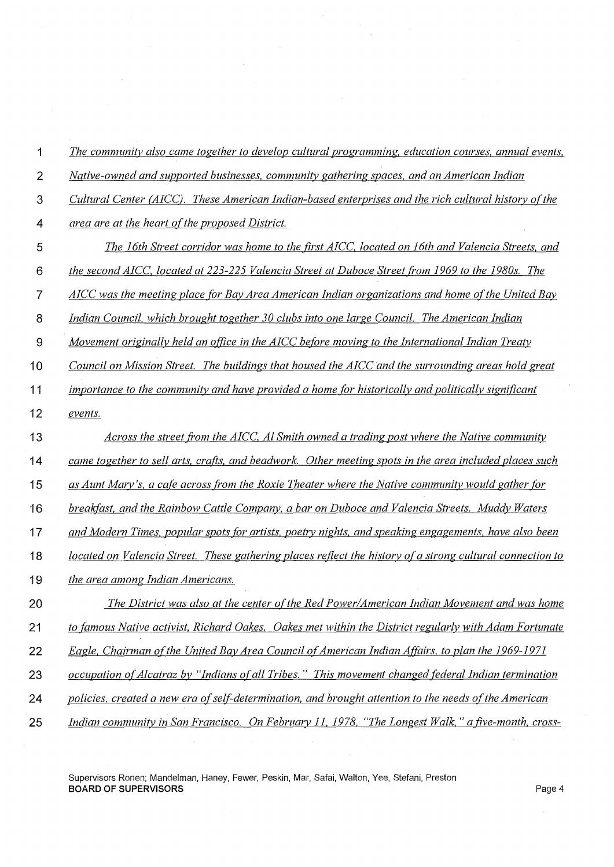| 1              | The community also came together to develop cultural programming, education courses, annual events,       |
|----------------|-----------------------------------------------------------------------------------------------------------|
| $\overline{2}$ | Native-owned and supported businesses, community gathering spaces, and an American Indian                 |
| 3              | Cultural Center (AICC). These American Indian-based enterprises and the rich cultural history of the      |
| 4              | area are at the heart of the proposed District.                                                           |
| 5              | The 16th Street corridor was home to the first AICC, located on 16th and Valencia Streets, and            |
| 6              | the second AICC, located at 223-225 Valencia Street at Duboce Street from 1969 to the 1980s. The          |
| $\overline{7}$ | AICC was the meeting place for Bay Area American Indian organizations and home of the United Bay          |
| 8              | Indian Council, which brought together 30 clubs into one large Council. The American Indian               |
| $\mathbf{9}$   | Movement originally held an office in the AICC before moving to the International Indian Treaty           |
| 10             | Council on Mission Street. The buildings that housed the AICC and the surrounding areas hold great        |
| 11             | importance to the community and have provided a home for historically and politically significant         |
| 12             | events.                                                                                                   |
| 13             | Across the street from the AICC, Al Smith owned a trading post where the Native community                 |
| 14             | came together to sell arts, crafts, and beadwork. Other meeting spots in the area included places such    |
| 15             | as Aunt Mary's, a cafe across from the Roxie Theater where the Native community would gather for          |
| 16             | breakfast, and the Rainbow Cattle Company, a bar on Duboce and Valencia Streets. Muddy Waters             |
| 17             | and Modern Times, popular spots for artists, poetry nights, and speaking engagements, have also been      |
| 18             | located on Valencia Street. These gathering places reflect the history of a strong cultural connection to |
| 19             | the area among Indian Americans.                                                                          |
| 20             | The District was also at the center of the Red Power/American Indian Movement and was home                |
| 21             | to famous Native activist, Richard Oakes. Oakes met within the District regularly with Adam Fortunate     |
| 22             | Eagle, Chairman of the United Bay Area Council of American Indian Affairs, to plan the 1969-1971          |
| 23             | occupation of Alcatraz by "Indians of all Tribes." This movement changed federal Indian termination       |
| 24             | policies, created a new era of self-determination, and brought attention to the needs of the American     |
| 25             | Indian community in San Francisco. On February 11, 1978, "The Longest Walk," a five-month, cross-         |

 $\sim$ 

 $\hat{\mathcal{A}}$ 

 $\hat{\mathcal{E}}$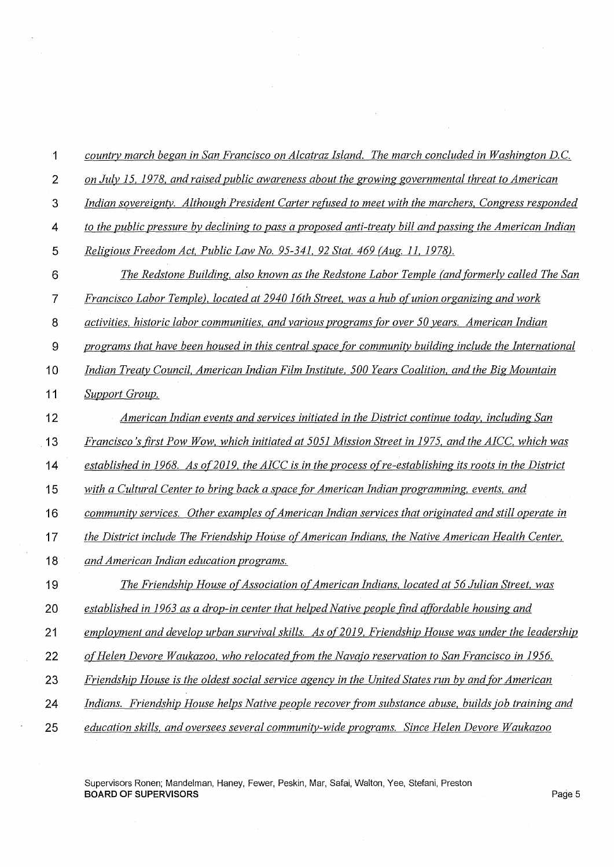| 1                | country march began in San Francisco on Alcatraz Island. The march concluded in Washington D.C.          |
|------------------|----------------------------------------------------------------------------------------------------------|
| $\overline{2}$   | on July 15, 1978, and raised public awareness about the growing governmental threat to American          |
| $\mathbf{3}$     | Indian sovereignty. Although President Carter refused to meet with the marchers, Congress responded      |
| 4                | to the public pressure by declining to pass a proposed anti-treaty bill and passing the American Indian  |
| 5                | Religious Freedom Act, Public Law No. 95-341, 92 Stat. 469 (Aug. 11, 1978).                              |
| $6\phantom{1}6$  | The Redstone Building, also known as the Redstone Labor Temple (and formerly called The San              |
| $\overline{7}$   | Francisco Labor Temple), located at 2940 16th Street, was a hub of union organizing and work             |
| 8                | activities, historic labor communities, and various programs for over 50 years. American Indian          |
| $\boldsymbol{9}$ | programs that have been housed in this central space for community building include the International    |
| 10               | Indian Treaty Council, American Indian Film Institute, 500 Years Coalition, and the Big Mountain         |
| 11               | <b>Support Group.</b>                                                                                    |
| 12               | American Indian events and services initiated in the District continue today, including San              |
| 13               | Francisco's first Pow Wow, which initiated at 5051 Mission Street in 1975, and the AICC, which was       |
| 14               | established in 1968. As of 2019, the AICC is in the process of re-establishing its roots in the District |
| 15               | with a Cultural Center to bring back a space for American Indian programming, events, and                |
| 16               | community services. Other examples of American Indian services that originated and still operate in      |
| 17               | the District include The Friendship House of American Indians, the Native American Health Center,        |
| 18               | and American Indian education programs.                                                                  |
| 19               | The Friendship House of Association of American Indians, located at 56 Julian Street, was                |
| 20               | established in 1963 as a drop-in center that helped Native people find affordable housing and            |
| 21               | employment and develop urban survival skills. As of 2019, Friendship House was under the leadership      |
| 22               | of Helen Devore Waukazoo, who relocated from the Navajo reservation to San Francisco in 1956.            |
| 23               | Friendship House is the oldest social service agency in the United States run by and for American        |
| 24               | Indians. Friendship House helps Native people recover from substance abuse, builds job training and      |
| 25               | education skills, and oversees several community-wide programs. Since Helen Devore Waukazoo              |

 $\sim$ 

Supervisors Ronen; Mandelman, Haney, Fewer, Peskin, Mar, Safai, Walton, Yee, Stefani, Preston **BOARD OF SUPERVISORS** Page 5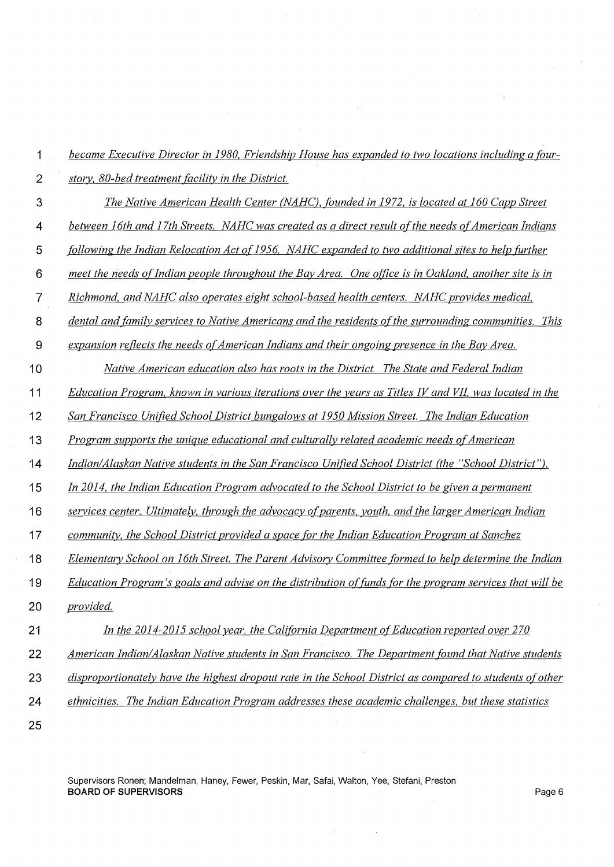| 1               | became Executive Director in 1980, Friendship House has expanded to two locations including a four-      |
|-----------------|----------------------------------------------------------------------------------------------------------|
| $\overline{2}$  | story, 80-bed treatment facility in the District.                                                        |
| 3               | The Native American Health Center (NAHC), founded in 1972, is located at 160 Capp Street                 |
| 4               | between 16th and 17th Streets. NAHC was created as a direct result of the needs of American Indians      |
| 5               | following the Indian Relocation Act of 1956. NAHC expanded to two additional sites to help further       |
| $6\phantom{1}6$ | meet the needs of Indian people throughout the Bay Area. One office is in Oakland, another site is in    |
| $\overline{7}$  | Richmond, and NAHC also operates eight school-based health centers. NAHC provides medical,               |
| 8               | dental and family services to Native Americans and the residents of the surrounding communities. This    |
| 9               | expansion reflects the needs of American Indians and their ongoing presence in the Bay Area.             |
| 10              | Native American education also has roots in the District. The State and Federal Indian                   |
| 11              | Education Program, known in various iterations over the years as Titles IV and VII, was located in the   |
| 12              | San Francisco Unified School District bungalows at 1950 Mission Street. The Indian Education             |
| 13              | Program supports the unique educational and culturally related academic needs of American                |
| 14              | Indian/Alaskan Native students in the San Francisco Unified School District (the "School District").     |
| 15              | In 2014, the Indian Education Program advocated to the School District to be given a permanent           |
| 16              | services center. Ultimately, through the advocacy of parents, youth, and the larger American Indian      |
| 17              | community, the School District provided a space for the Indian Education Program at Sanchez              |
| 18              | Elementary School on 16th Street. The Parent Advisory Committee formed to help determine the Indian      |
| 19              | Education Program's goals and advise on the distribution of funds for the program services that will be  |
| 20              | provided.                                                                                                |
| 21              | In the 2014-2015 school year, the California Department of Education reported over 270                   |
| 22              | American Indian/Alaskan Native students in San Francisco. The Department found that Native students      |
| 23              | disproportionately have the highest dropout rate in the School District as compared to students of other |
| 24              | ethnicities. The Indian Education Program addresses these academic challenges, but these statistics      |
| 25              |                                                                                                          |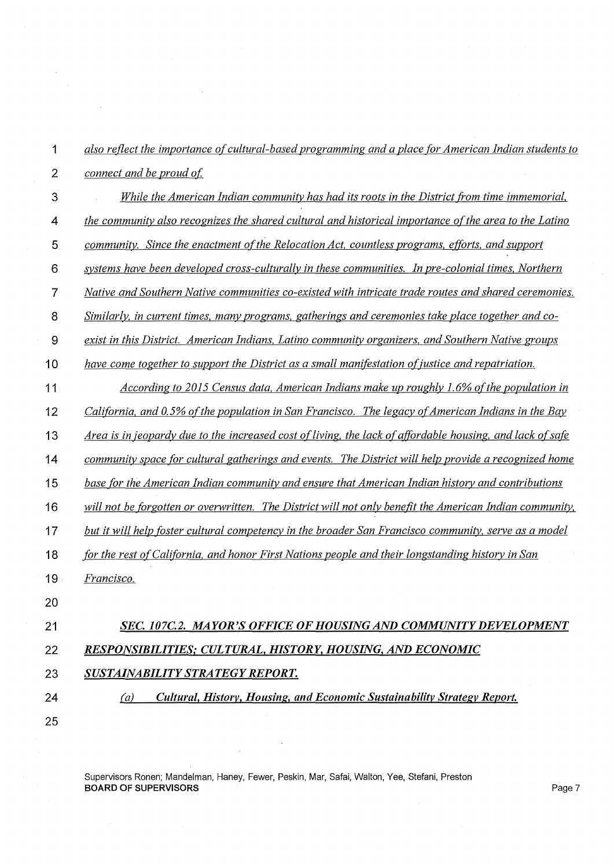| 1              | also reflect the importance of cultural-based programming and a place for American Indian students to     |
|----------------|-----------------------------------------------------------------------------------------------------------|
| $\overline{2}$ | connect and be proud of.                                                                                  |
| 3              | While the American Indian community has had its roots in the District from time immemorial,               |
| 4              | the community also recognizes the shared cultural and historical importance of the area to the Latino     |
| 5              | community. Since the enactment of the Relocation Act, countless programs, efforts, and support            |
| 6              | systems have been developed cross-culturally in these communities. In pre-colonial times, Northern        |
| 7              | Native and Southern Native communities co-existed with intricate trade routes and shared ceremonies.      |
| 8              | Similarly, in current times, many programs, gatherings and ceremonies take place together and co-         |
| $\overline{9}$ | exist in this District. American Indians, Latino community organizers, and Southern Native groups         |
| 10             | have come together to support the District as a small manifestation of justice and repatriation.          |
| 11             | According to 2015 Census data, American Indians make up roughly 1.6% of the population in                 |
| 12             | California, and 0.5% of the population in San Francisco. The legacy of American Indians in the Bay        |
| 13             | Area is in jeopardy due to the increased cost of living, the lack of affordable housing, and lack of safe |
| 14             | community space for cultural gatherings and events. The District will help provide a recognized home      |
| 15             | base for the American Indian community and ensure that American Indian history and contributions          |
| 16             | will not be forgotten or overwritten. The District will not only benefit the American Indian community,   |
| 17             | but it will help foster cultural competency in the broader San Francisco community, serve as a model      |
| 18             | for the rest of California, and honor First Nations people and their longstanding history in San          |
| 19             | Francisco.                                                                                                |
| 20             |                                                                                                           |
| 21             | SEC. 107C.2. MAYOR'S OFFICE OF HOUSING AND COMMUNITY DEVELOPMENT                                          |
| 22             | RESPONSIBILITIES; CULTURAL, HISTORY, HOUSING, AND ECONOMIC                                                |
| 23             | SUSTAINABILITY STRATEGY REPORT.                                                                           |
| 24             | Cultural, History, Housing, and Economic Sustainability Strategy Report.<br>(a)                           |
| 25             |                                                                                                           |

 $\hat{\boldsymbol{\beta}}$ 

 $\sim$ 

 $\mathcal{A}$ 

 $\frac{1}{\sqrt{2}}\left(\frac{1}{\sqrt{2}}\right)^{2}=\frac{1}{2}\left(\frac{1}{2}\right)^{2}$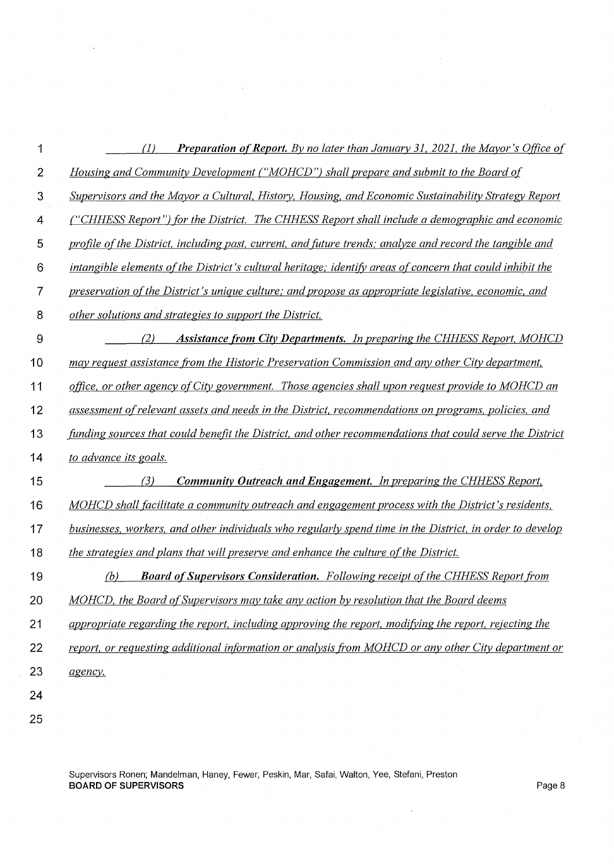| 1              | <b>Preparation of Report.</b> By no later than January 31, 2021, the Mayor's Office of<br>$\left( I\right)$ |
|----------------|-------------------------------------------------------------------------------------------------------------|
| $\overline{2}$ | Housing and Community Development ("MOHCD") shall prepare and submit to the Board of                        |
| 3              | Supervisors and the Mayor a Cultural, History, Housing, and Economic Sustainability Strategy Report         |
| 4              | ("CHHESS Report") for the District. The CHHESS Report shall include a demographic and economic              |
| 5              | profile of the District, including past, current, and future trends; analyze and record the tangible and    |
| 6              | intangible elements of the District's cultural heritage; identify areas of concern that could inhibit the   |
| 7              | preservation of the District's unique culture; and propose as appropriate legislative, economic, and        |
| 8              | other solutions and strategies to support the District.                                                     |
| $\mathbf{9}$   | <b>Assistance from City Departments.</b> In preparing the CHHESS Report, MOHCD<br>(2)                       |
| 10             | may request assistance from the Historic Preservation Commission and any other City department,             |
| 11             | office, or other agency of City government. Those agencies shall upon request provide to MOHCD an           |
| 12             | assessment of relevant assets and needs in the District, recommendations on programs, policies, and         |
| 13             | funding sources that could benefit the District, and other recommendations that could serve the District    |
| 14             | to advance its goals.                                                                                       |
| 15             | <b>Community Outreach and Engagement.</b> In preparing the CHHESS Report,<br>(3)                            |
| 16             | MOHCD shall facilitate a community outreach and engagement process with the District's residents,           |
| 17             | businesses, workers, and other individuals who regularly spend time in the District, in order to develop    |
| 18             | the strategies and plans that will preserve and enhance the culture of the District.                        |
| 19             | <b>Board of Supervisors Consideration.</b> Following receipt of the CHHESS Report from<br>(b)               |
| 20             | MOHCD, the Board of Supervisors may take any action by resolution that the Board deems                      |
| 21             | appropriate regarding the report, including approving the report, modifying the report, rejecting the       |
| 22             | report, or requesting additional information or analysis from MOHCD or any other City department or         |
| 23             | agency.                                                                                                     |
| 24             |                                                                                                             |
| 25             |                                                                                                             |

 $\sim$ 

 $\chi^2_{\rm{max}}$ 

 $\ddot{\phantom{a}}$ 

 $\hat{\mathcal{A}}$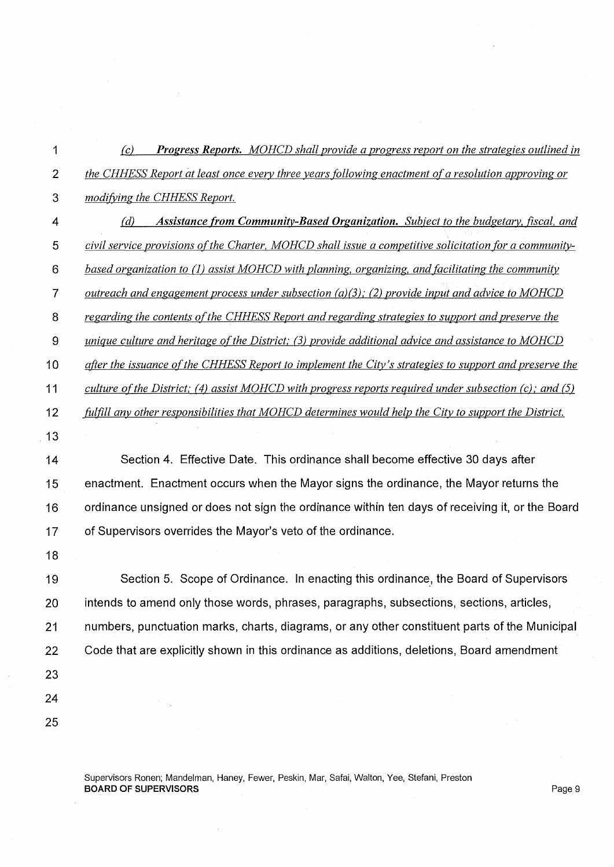*(c) Progress Reports. MOHCD shall provide a progress report on the strategies outlined in the CH HESS Report at least once every three years following enactment of a resolution approving or modifj;ing the CHHESS Report.* 

- *(d) Assistance from Community-Based Organization. Subject to the budgetary, fiscal, and civil service provisions of the Charter, MOHCD shall issue a competitive solicitation for a community-based organization to (I) assist MOHCD with planning, organizing, and facilitating the community outreach and engagement process under subsection (a)(3); (2) provide input and advice to MOHCD regarding the contents of the CHHESS Report and regarding strategies to support and preserve the unique culture and heritage ofthe District; (3) provide additional advice and assistance to MOHCD after the issuance of the CHHESS Report to implement the City's strategies to support and preserve the culture of the District; (4) assist MOHCD with progress reports required under subsection (c); and (5) fulfill any other responsibilities that MOHCD determines would help the City to support the District.*  Section 4. Effective Date. This ordinance shall become effective 30 days after 15 enactment. Enactment occurs when the Mayor signs the ordinance, the Mayor returns the 16 ordinance unsigned or does not sign the ordinance within ten days of receiving it, or the Board 17 of Supervisors overrides the Mayor's veto of the ordinance.
- 

19 Section 5. Scope of Ordinance. In enacting this ordinance, the Board of Supervisors 20 intends to amend only those words, phrases, paragraphs, subsections, sections, articles, 21 numbers, punctuation marks, charts, diagrams, or any other constituent parts of the Municipal 22 Code that are explicitly shown in this ordinance as additions, deletions, Board amendment 

 

> Supervisors Ronen; Mandelman, Haney, Fewer, Peskin, Mar, Safai, Walton, Yee, Stefani, Preston **BOARD OF SUPERVISORS** Page 9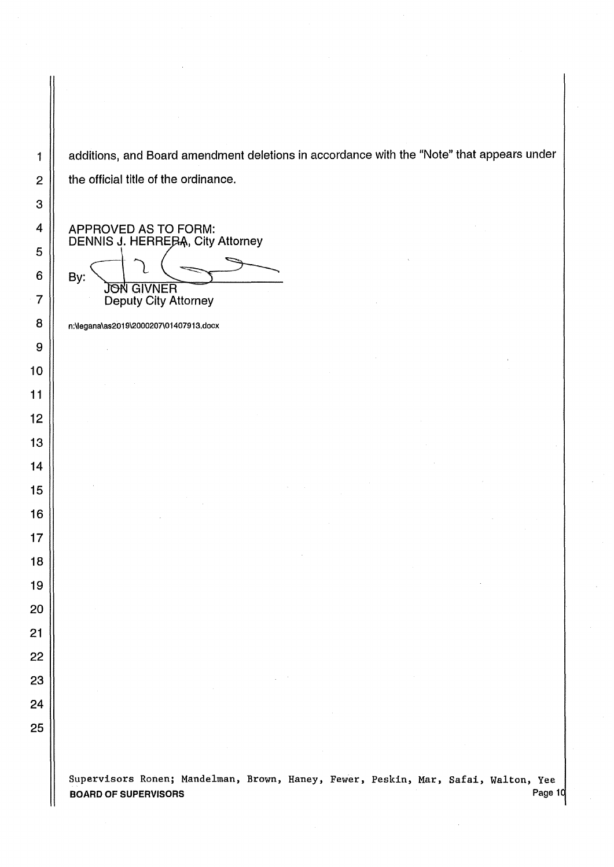1 | additions, and Board amendment deletions in accordance with the "Note" that appears under  $2 \parallel$  the official title of the ordinance.

APPROVED AS TO FORM: DENNIS J. HERREBA, City Attorney

By: **JON GIVNER** Deputy City Attorney

8 | n:\legana\as2019\2000207\01407913.docx

Supervisors Ronen; Mandelman, Brown, Haney, Fewer, Peskin, Mar, Safai, Walton, Yee BOARD OF SUPERVISORS **Page 10**